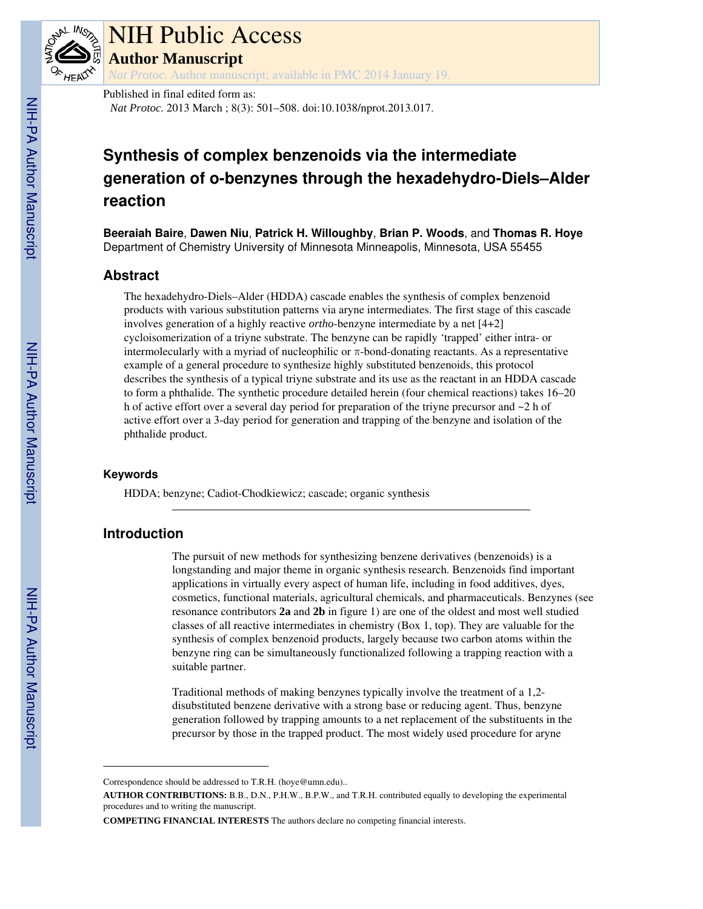

# NIH Public Access

**Author Manuscript**

*Nat Protoc*. Author manuscript; available in PMC 2014 January 19.

Published in final edited form as:

*Nat Protoc*. 2013 March ; 8(3): 501–508. doi:10.1038/nprot.2013.017.

## **Synthesis of complex benzenoids via the intermediate generation of o-benzynes through the hexadehydro-Diels–Alder reaction**

**Beeraiah Baire**, **Dawen Niu**, **Patrick H. Willoughby**, **Brian P. Woods**, and **Thomas R. Hoye** Department of Chemistry University of Minnesota Minneapolis, Minnesota, USA 55455

## **Abstract**

The hexadehydro-Diels–Alder (HDDA) cascade enables the synthesis of complex benzenoid products with various substitution patterns via aryne intermediates. The first stage of this cascade involves generation of a highly reactive *ortho*-benzyne intermediate by a net [4+2] cycloisomerization of a triyne substrate. The benzyne can be rapidly 'trapped' either intra- or intermolecularly with a myriad of nucleophilic or  $\pi$ -bond-donating reactants. As a representative example of a general procedure to synthesize highly substituted benzenoids, this protocol describes the synthesis of a typical triyne substrate and its use as the reactant in an HDDA cascade to form a phthalide. The synthetic procedure detailed herein (four chemical reactions) takes 16–20 h of active effort over a several day period for preparation of the triyne precursor and ~2 h of active effort over a 3-day period for generation and trapping of the benzyne and isolation of the phthalide product.

#### **Keywords**

HDDA; benzyne; Cadiot-Chodkiewicz; cascade; organic synthesis

## **Introduction**

The pursuit of new methods for synthesizing benzene derivatives (benzenoids) is a longstanding and major theme in organic synthesis research. Benzenoids find important applications in virtually every aspect of human life, including in food additives, dyes, cosmetics, functional materials, agricultural chemicals, and pharmaceuticals. Benzynes (see resonance contributors **2a** and **2b** in figure 1) are one of the oldest and most well studied classes of all reactive intermediates in chemistry (Box 1, top). They are valuable for the synthesis of complex benzenoid products, largely because two carbon atoms within the benzyne ring can be simultaneously functionalized following a trapping reaction with a suitable partner.

Traditional methods of making benzynes typically involve the treatment of a 1,2 disubstituted benzene derivative with a strong base or reducing agent. Thus, benzyne generation followed by trapping amounts to a net replacement of the substituents in the precursor by those in the trapped product. The most widely used procedure for aryne

Correspondence should be addressed to T.R.H. (hoye@umn.edu)..

**AUTHOR CONTRIBUTIONS:** B.B., D.N., P.H.W., B.P.W., and T.R.H. contributed equally to developing the experimental procedures and to writing the manuscript.

**COMPETING FINANCIAL INTERESTS** The authors declare no competing financial interests.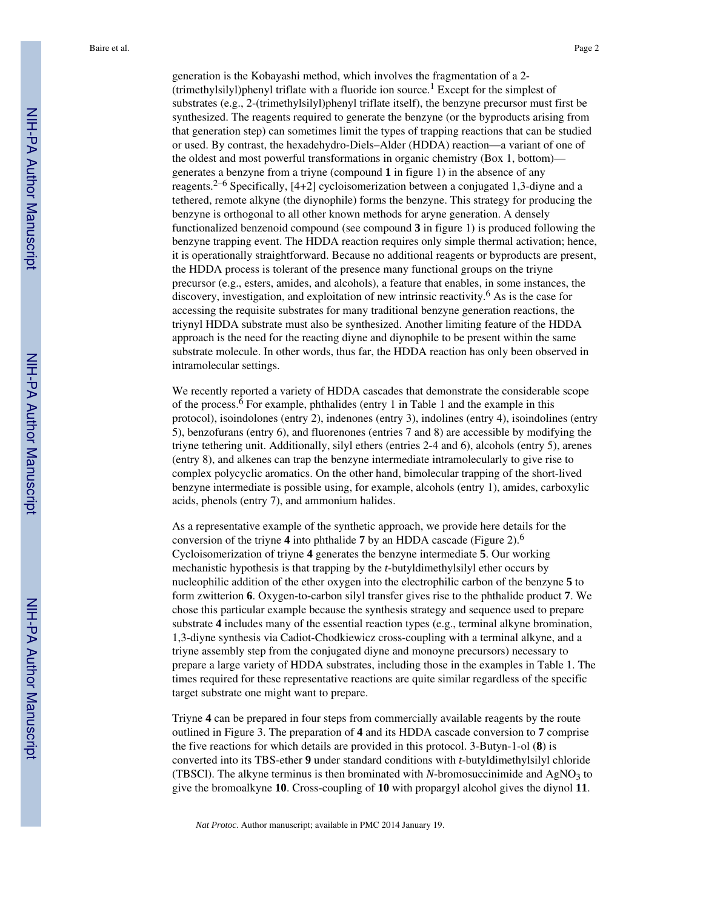generation is the Kobayashi method, which involves the fragmentation of a 2- (trimethylsilyl)phenyl triflate with a fluoride ion source.<sup>1</sup> Except for the simplest of substrates (e.g., 2-(trimethylsilyl)phenyl triflate itself), the benzyne precursor must first be synthesized. The reagents required to generate the benzyne (or the byproducts arising from that generation step) can sometimes limit the types of trapping reactions that can be studied or used. By contrast, the hexadehydro-Diels–Alder (HDDA) reaction—a variant of one of the oldest and most powerful transformations in organic chemistry (Box 1, bottom) generates a benzyne from a triyne (compound **1** in figure 1) in the absence of any reagents.<sup>2–6</sup> Specifically, [4+2] cycloisomerization between a conjugated 1,3-diyne and a tethered, remote alkyne (the diynophile) forms the benzyne. This strategy for producing the benzyne is orthogonal to all other known methods for aryne generation. A densely functionalized benzenoid compound (see compound **3** in figure 1) is produced following the benzyne trapping event. The HDDA reaction requires only simple thermal activation; hence, it is operationally straightforward. Because no additional reagents or byproducts are present, the HDDA process is tolerant of the presence many functional groups on the triyne precursor (e.g., esters, amides, and alcohols), a feature that enables, in some instances, the discovery, investigation, and exploitation of new intrinsic reactivity.<sup>6</sup> As is the case for accessing the requisite substrates for many traditional benzyne generation reactions, the triynyl HDDA substrate must also be synthesized. Another limiting feature of the HDDA approach is the need for the reacting diyne and diynophile to be present within the same substrate molecule. In other words, thus far, the HDDA reaction has only been observed in intramolecular settings.

We recently reported a variety of HDDA cascades that demonstrate the considerable scope of the process.  $\overline{6}$  For example, phthalides (entry 1 in Table 1 and the example in this protocol), isoindolones (entry 2), indenones (entry 3), indolines (entry 4), isoindolines (entry 5), benzofurans (entry 6), and fluorenones (entries 7 and 8) are accessible by modifying the triyne tethering unit. Additionally, silyl ethers (entries 2-4 and 6), alcohols (entry 5), arenes (entry 8), and alkenes can trap the benzyne intermediate intramolecularly to give rise to complex polycyclic aromatics. On the other hand, bimolecular trapping of the short-lived benzyne intermediate is possible using, for example, alcohols (entry 1), amides, carboxylic acids, phenols (entry 7), and ammonium halides.

As a representative example of the synthetic approach, we provide here details for the conversion of the triyne **4** into phthalide **7** by an HDDA cascade (Figure 2).<sup>6</sup> Cycloisomerization of triyne **4** generates the benzyne intermediate **5**. Our working mechanistic hypothesis is that trapping by the *t*-butyldimethylsilyl ether occurs by nucleophilic addition of the ether oxygen into the electrophilic carbon of the benzyne **5** to form zwitterion **6**. Oxygen-to-carbon silyl transfer gives rise to the phthalide product **7**. We chose this particular example because the synthesis strategy and sequence used to prepare substrate **4** includes many of the essential reaction types (e.g., terminal alkyne bromination, 1,3-diyne synthesis via Cadiot-Chodkiewicz cross-coupling with a terminal alkyne, and a triyne assembly step from the conjugated diyne and monoyne precursors) necessary to prepare a large variety of HDDA substrates, including those in the examples in Table 1. The times required for these representative reactions are quite similar regardless of the specific target substrate one might want to prepare.

Triyne **4** can be prepared in four steps from commercially available reagents by the route outlined in Figure 3. The preparation of **4** and its HDDA cascade conversion to **7** comprise the five reactions for which details are provided in this protocol. 3-Butyn-1-ol (**8**) is converted into its TBS-ether **9** under standard conditions with *t*-butyldimethylsilyl chloride (TBSCl). The alkyne terminus is then brominated with *N*-bromosuccinimide and  $AgNO<sub>3</sub>$  to give the bromoalkyne **10**. Cross-coupling of **10** with propargyl alcohol gives the diynol **11**.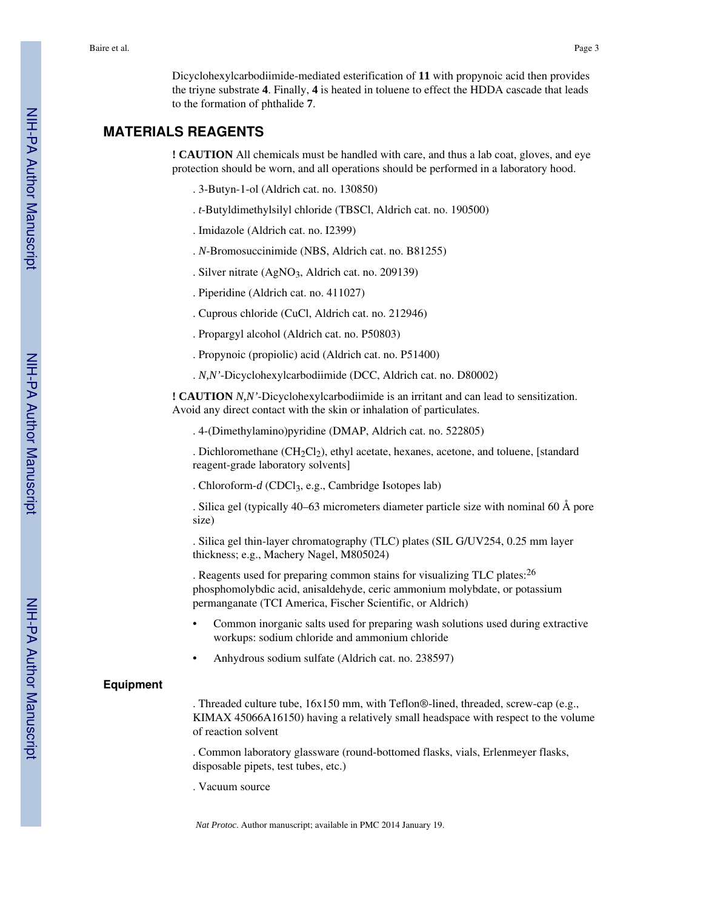Baire et al. Page 3

Dicyclohexylcarbodiimide-mediated esterification of **11** with propynoic acid then provides the triyne substrate **4**. Finally, **4** is heated in toluene to effect the HDDA cascade that leads to the formation of phthalide **7**.

## **MATERIALS REAGENTS**

**! CAUTION** All chemicals must be handled with care, and thus a lab coat, gloves, and eye protection should be worn, and all operations should be performed in a laboratory hood.

- . 3-Butyn-1-ol (Aldrich cat. no. 130850)
- . *t*-Butyldimethylsilyl chloride (TBSCl, Aldrich cat. no. 190500)
- . Imidazole (Aldrich cat. no. I2399)
- . *N*-Bromosuccinimide (NBS, Aldrich cat. no. B81255)
- . Silver nitrate (AgNO<sub>3</sub>, Aldrich cat. no. 209139)
- . Piperidine (Aldrich cat. no. 411027)
- . Cuprous chloride (CuCl, Aldrich cat. no. 212946)
- . Propargyl alcohol (Aldrich cat. no. P50803)
- . Propynoic (propiolic) acid (Aldrich cat. no. P51400)
- . *N,N'*-Dicyclohexylcarbodiimide (DCC, Aldrich cat. no. D80002)

**! CAUTION** *N,N'*-Dicyclohexylcarbodiimide is an irritant and can lead to sensitization. Avoid any direct contact with the skin or inhalation of particulates.

. 4-(Dimethylamino)pyridine (DMAP, Aldrich cat. no. 522805)

. Dichloromethane  $(CH_2Cl_2)$ , ethyl acetate, hexanes, acetone, and toluene, [standard] reagent-grade laboratory solvents]

. Chloroform-*d* (CDCl<sub>3</sub>, e.g., Cambridge Isotopes lab)

. Silica gel (typically 40–63 micrometers diameter particle size with nominal 60 Å pore size)

. Silica gel thin-layer chromatography (TLC) plates (SIL G/UV254, 0.25 mm layer thickness; e.g., Machery Nagel, M805024)

. Reagents used for preparing common stains for visualizing TLC plates:<sup>26</sup> phosphomolybdic acid, anisaldehyde, ceric ammonium molybdate, or potassium permanganate (TCI America, Fischer Scientific, or Aldrich)

- **•** Common inorganic salts used for preparing wash solutions used during extractive workups: sodium chloride and ammonium chloride
- **•** Anhydrous sodium sulfate (Aldrich cat. no. 238597)

#### **Equipment**

. Threaded culture tube, 16x150 mm, with Teflon®-lined, threaded, screw-cap (e.g., KIMAX 45066A16150) having a relatively small headspace with respect to the volume of reaction solvent

. Common laboratory glassware (round-bottomed flasks, vials, Erlenmeyer flasks, disposable pipets, test tubes, etc.)

. Vacuum source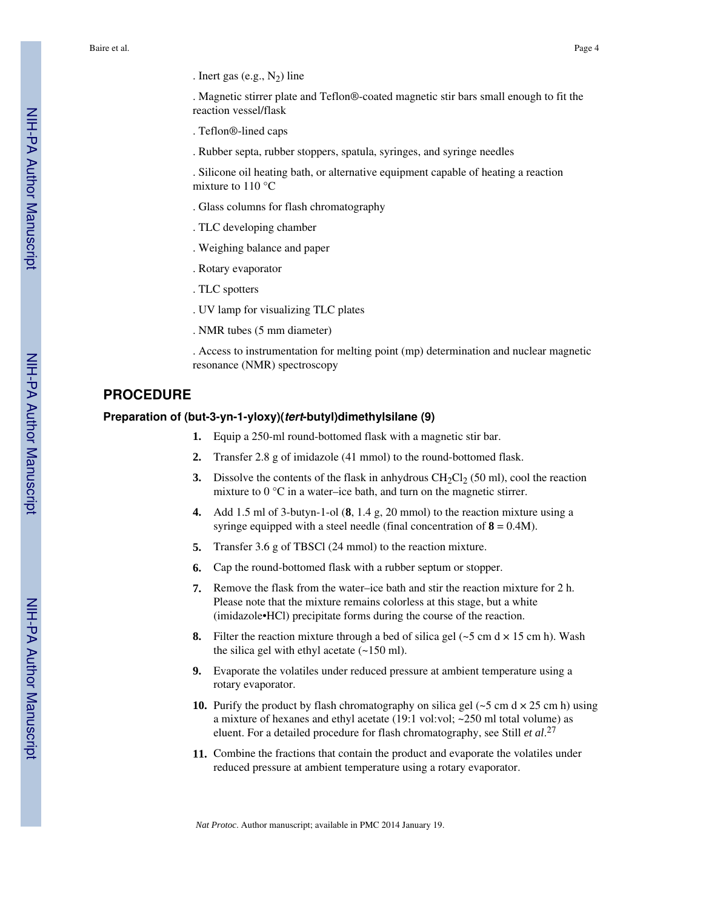. Magnetic stirrer plate and Teflon®-coated magnetic stir bars small enough to fit the reaction vessel/flask

- . Teflon®-lined caps
- . Rubber septa, rubber stoppers, spatula, syringes, and syringe needles

. Silicone oil heating bath, or alternative equipment capable of heating a reaction mixture to 110 °C

- . Glass columns for flash chromatography
- . TLC developing chamber
- . Weighing balance and paper
- . Rotary evaporator
- . TLC spotters
- . UV lamp for visualizing TLC plates
- . NMR tubes (5 mm diameter)

. Access to instrumentation for melting point (mp) determination and nuclear magnetic resonance (NMR) spectroscopy

#### **PROCEDURE**

#### **Preparation of (but-3-yn-1-yloxy)(tert-butyl)dimethylsilane (9)**

- **1.** Equip a 250-ml round-bottomed flask with a magnetic stir bar.
- **2.** Transfer 2.8 g of imidazole (41 mmol) to the round-bottomed flask.
- **3.** Dissolve the contents of the flask in anhydrous  $CH_2Cl_2$  (50 ml), cool the reaction mixture to 0 °C in a water–ice bath, and turn on the magnetic stirrer.
- **4.** Add 1.5 ml of 3-butyn-1-ol (**8**, 1.4 g, 20 mmol) to the reaction mixture using a syringe equipped with a steel needle (final concentration of  $8 = 0.4M$ ).
- **5.** Transfer 3.6 g of TBSCl (24 mmol) to the reaction mixture.
- **6.** Cap the round-bottomed flask with a rubber septum or stopper.
- **7.** Remove the flask from the water–ice bath and stir the reaction mixture for 2 h. Please note that the mixture remains colorless at this stage, but a white (imidazole•HCl) precipitate forms during the course of the reaction.
- **8.** Filter the reaction mixture through a bed of silica gel  $(-5 \text{ cm d} \times 15 \text{ cm h})$ . Wash the silica gel with ethyl acetate  $(-150 \text{ ml})$ .
- **9.** Evaporate the volatiles under reduced pressure at ambient temperature using a rotary evaporator.
- **10.** Purify the product by flash chromatography on silica gel  $(-5 \text{ cm d} \times 25 \text{ cm h})$  using a mixture of hexanes and ethyl acetate (19:1 vol:vol; ~250 ml total volume) as eluent. For a detailed procedure for flash chromatography, see Still *et al*. 27
- **11.** Combine the fractions that contain the product and evaporate the volatiles under reduced pressure at ambient temperature using a rotary evaporator.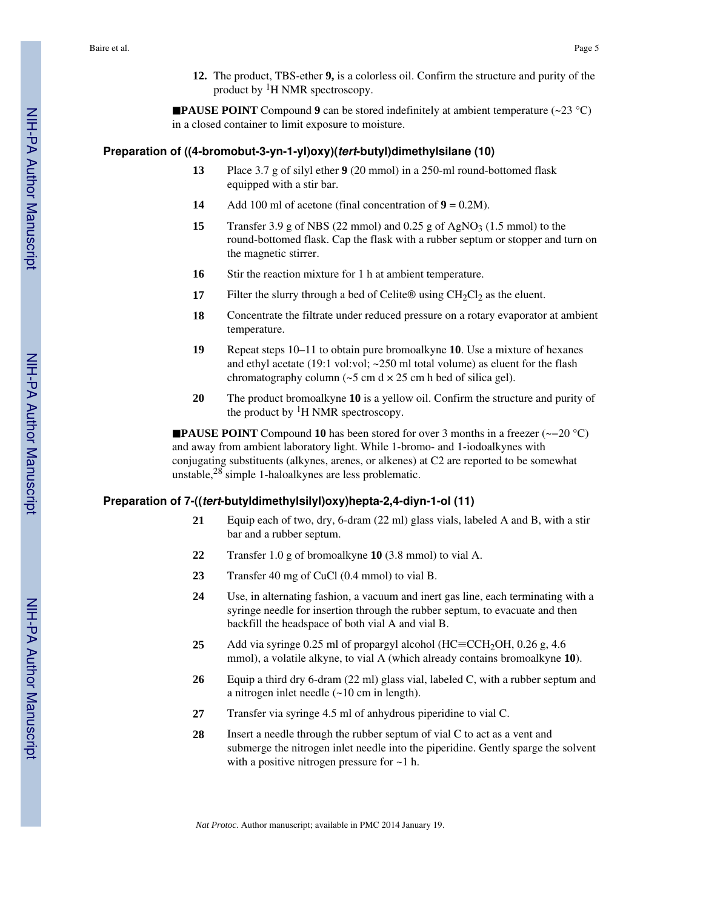**12.** The product, TBS-ether **9,** is a colorless oil. Confirm the structure and purity of the product by 1H NMR spectroscopy.

**PAUSE POINT** Compound **9** can be stored indefinitely at ambient temperature ( $\sim$ 23 °C) in a closed container to limit exposure to moisture.

#### **Preparation of ((4-bromobut-3-yn-1-yl)oxy)(tert-butyl)dimethylsilane (10)**

- **13** Place 3.7 g of silyl ether **9** (20 mmol) in a 250-ml round-bottomed flask equipped with a stir bar.
- **14** Add 100 ml of acetone (final concentration of **9** = 0.2M).
- **15** Transfer 3.9 g of NBS (22 mmol) and  $0.25$  g of AgNO<sub>3</sub> (1.5 mmol) to the round-bottomed flask. Cap the flask with a rubber septum or stopper and turn on the magnetic stirrer.
- 16 Stir the reaction mixture for 1 h at ambient temperature.
- **17** Filter the slurry through a bed of Celite® using  $CH_2Cl_2$  as the eluent.
- **18** Concentrate the filtrate under reduced pressure on a rotary evaporator at ambient temperature.
- **19** Repeat steps 10–11 to obtain pure bromoalkyne **10**. Use a mixture of hexanes and ethyl acetate (19:1 vol:vol; ~250 ml total volume) as eluent for the flash chromatography column  $\left(\sim 5 \text{ cm d} \times 25 \text{ cm h} \right)$  bed of silica gel).
- **20** The product bromoalkyne **10** is a yellow oil. Confirm the structure and purity of the product by  ${}^{1}H$  NMR spectroscopy.

■**PAUSE POINT** Compound 10 has been stored for over 3 months in a freezer (~–20 °C) and away from ambient laboratory light. While 1-bromo- and 1-iodoalkynes with conjugating substituents (alkynes, arenes, or alkenes) at C2 are reported to be somewhat unstable,28 simple 1-haloalkynes are less problematic.

#### **Preparation of 7-((tert-butyldimethylsilyl)oxy)hepta-2,4-diyn-1-ol (11)**

- **21** Equip each of two, dry, 6-dram (22 ml) glass vials, labeled A and B, with a stir bar and a rubber septum.
- **22** Transfer 1.0 g of bromoalkyne **10** (3.8 mmol) to vial A.
- **23** Transfer 40 mg of CuCl (0.4 mmol) to vial B.
- **24** Use, in alternating fashion, a vacuum and inert gas line, each terminating with a syringe needle for insertion through the rubber septum, to evacuate and then backfill the headspace of both vial A and vial B.
- **25** Add via syringe 0.25 ml of propargyl alcohol (HC≡CCH<sub>2</sub>OH, 0.26 g, 4.6 mmol), a volatile alkyne, to vial A (which already contains bromoalkyne **10**).
- **26** Equip a third dry 6-dram (22 ml) glass vial, labeled C, with a rubber septum and a nitrogen inlet needle (~10 cm in length).
- **27** Transfer via syringe 4.5 ml of anhydrous piperidine to vial C.
- **28** Insert a needle through the rubber septum of vial C to act as a vent and submerge the nitrogen inlet needle into the piperidine. Gently sparge the solvent with a positive nitrogen pressure for  $\sim$ 1 h.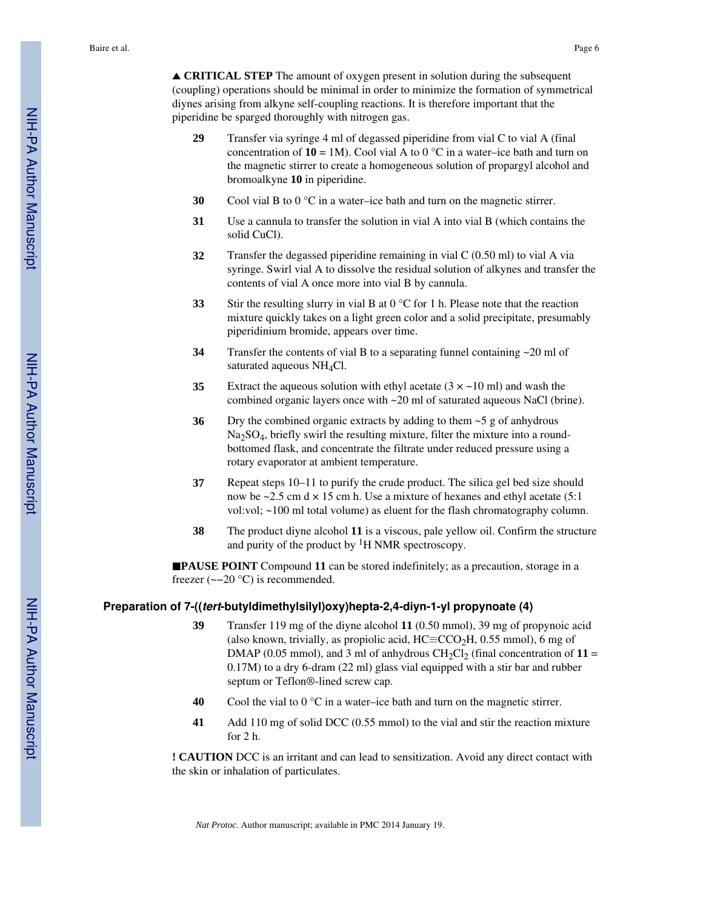**△ CRITICAL STEP** The amount of oxygen present in solution during the subsequent (coupling) operations should be minimal in order to minimize the formation of symmetrical diynes arising from alkyne self-coupling reactions. It is therefore important that the piperidine be sparged thoroughly with nitrogen gas.

- **29** Transfer via syringe 4 ml of degassed piperidine from vial C to vial A (final concentration of  $10 = 1$ M). Cool vial A to 0 °C in a water–ice bath and turn on the magnetic stirrer to create a homogeneous solution of propargyl alcohol and bromoalkyne **10** in piperidine.
- **30** Cool vial B to  $0^{\circ}$ C in a water–ice bath and turn on the magnetic stirrer.
- **31** Use a cannula to transfer the solution in vial A into vial B (which contains the solid CuCl).
- **32** Transfer the degassed piperidine remaining in vial C (0.50 ml) to vial A via syringe. Swirl vial A to dissolve the residual solution of alkynes and transfer the contents of vial A once more into vial B by cannula.
- **33** Stir the resulting slurry in vial B at 0 °C for 1 h. Please note that the reaction mixture quickly takes on a light green color and a solid precipitate, presumably piperidinium bromide, appears over time.
- **34** Transfer the contents of vial B to a separating funnel containing ~20 ml of saturated aqueous NH<sub>4</sub>Cl.
- **35** Extract the aqueous solution with ethyl acetate  $(3 \times \text{~}10 \text{ m})$  and wash the combined organic layers once with ~20 ml of saturated aqueous NaCl (brine).
- **36** Dry the combined organic extracts by adding to them ~5 g of anhydrous Na<sub>2</sub>SO<sub>4</sub>, briefly swirl the resulting mixture, filter the mixture into a roundbottomed flask, and concentrate the filtrate under reduced pressure using a rotary evaporator at ambient temperature.
- **37** Repeat steps 10–11 to purify the crude product. The silica gel bed size should now be  $\sim$  2.5 cm d  $\times$  15 cm h. Use a mixture of hexanes and ethyl acetate (5:1) vol:vol; ~100 ml total volume) as eluent for the flash chromatography column.
- **38** The product diyne alcohol **11** is a viscous, pale yellow oil. Confirm the structure and purity of the product by  ${}^{1}H$  NMR spectroscopy.

■**PAUSE POINT** Compound 11 can be stored indefinitely; as a precaution, storage in a freezer (~−20 °C) is recommended.

#### **Preparation of 7-((tert-butyldimethylsilyl)oxy)hepta-2,4-diyn-1-yl propynoate (4)**

- **39** Transfer 119 mg of the diyne alcohol **11** (0.50 mmol), 39 mg of propynoic acid (also known, trivially, as propiolic acid,  $HC \equiv CCO<sub>2</sub>H$ , 0.55 mmol), 6 mg of DMAP (0.05 mmol), and 3 ml of anhydrous  $CH_2Cl_2$  (final concentration of  $11 =$ 0.17M) to a dry 6-dram (22 ml) glass vial equipped with a stir bar and rubber septum or Teflon®-lined screw cap.
- **40** Cool the vial to  $0^{\circ}$ C in a water–ice bath and turn on the magnetic stirrer.
- **41** Add 110 mg of solid DCC (0.55 mmol) to the vial and stir the reaction mixture for 2 h.

**! CAUTION** DCC is an irritant and can lead to sensitization. Avoid any direct contact with the skin or inhalation of particulates.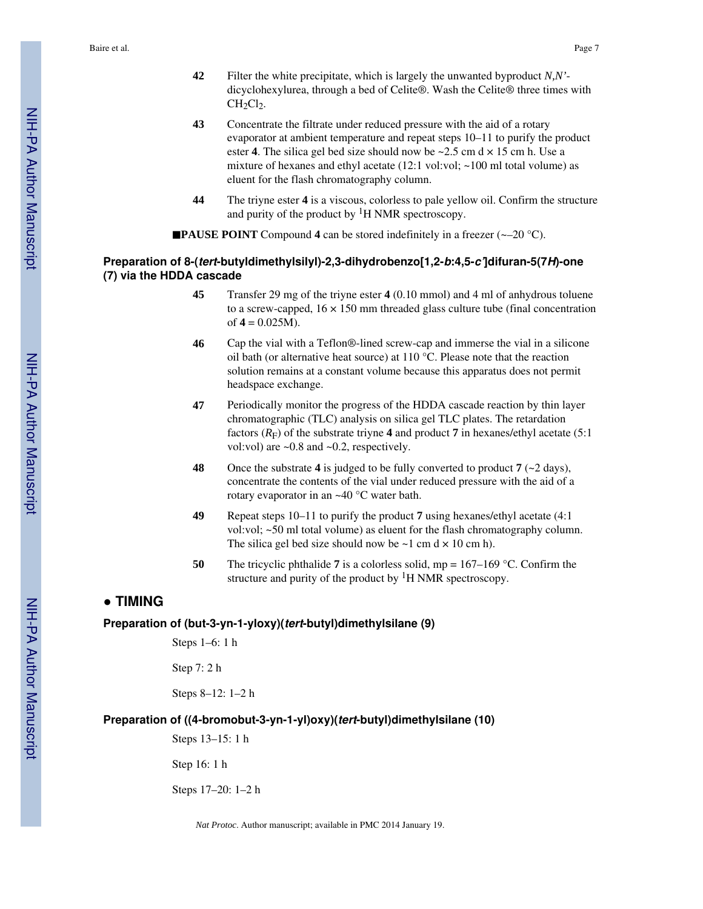Baire et al. Page 7

- **42** Filter the white precipitate, which is largely the unwanted byproduct *N,N'* dicyclohexylurea, through a bed of Celite®. Wash the Celite® three times with  $CH<sub>2</sub>Cl<sub>2</sub>$ .
- **43** Concentrate the filtrate under reduced pressure with the aid of a rotary evaporator at ambient temperature and repeat steps 10–11 to purify the product ester **4**. The silica gel bed size should now be  $\sim$  2.5 cm d  $\times$  15 cm h. Use a mixture of hexanes and ethyl acetate (12:1 vol:vol; ~100 ml total volume) as eluent for the flash chromatography column.
- **44** The triyne ester **4** is a viscous, colorless to pale yellow oil. Confirm the structure and purity of the product by  ${}^{1}H$  NMR spectroscopy.

■**PAUSE POINT** Compound 4 can be stored indefinitely in a freezer (~–20 °C).

#### **Preparation of 8-(tert-butyldimethylsilyl)-2,3-dihydrobenzo[1,2-b:4,5-c']difuran-5(7H)-one (7) via the HDDA cascade**

- **45** Transfer 29 mg of the triyne ester **4** (0.10 mmol) and 4 ml of anhydrous toluene to a screw-capped,  $16 \times 150$  mm threaded glass culture tube (final concentration of  $4 = 0.025M$ ).
- **46** Cap the vial with a Teflon®-lined screw-cap and immerse the vial in a silicone oil bath (or alternative heat source) at 110 °C. Please note that the reaction solution remains at a constant volume because this apparatus does not permit headspace exchange.
- **47** Periodically monitor the progress of the HDDA cascade reaction by thin layer chromatographic (TLC) analysis on silica gel TLC plates. The retardation factors  $(R_F)$  of the substrate triyne 4 and product 7 in hexanes/ethyl acetate (5:1) vol:vol) are  $\sim 0.8$  and  $\sim 0.2$ , respectively.
- **48** Once the substrate **4** is judged to be fully converted to product **7** (~2 days), concentrate the contents of the vial under reduced pressure with the aid of a rotary evaporator in an ~40 °C water bath.
- **49** Repeat steps 10–11 to purify the product **7** using hexanes/ethyl acetate (4:1 vol:vol; ~50 ml total volume) as eluent for the flash chromatography column. The silica gel bed size should now be  $\sim$ 1 cm d  $\times$  10 cm h).
- **50** The tricyclic phthalide **7** is a colorless solid, mp = 167–169 °C. Confirm the structure and purity of the product by  ${}^{1}H$  NMR spectroscopy.

## **● TIMING**

#### **Preparation of (but-3-yn-1-yloxy)(tert-butyl)dimethylsilane (9)**

Steps 1–6: 1 h

Step 7: 2 h

Steps 8–12: 1–2 h

#### **Preparation of ((4-bromobut-3-yn-1-yl)oxy)(tert-butyl)dimethylsilane (10)**

Steps 13–15: 1 h

Step 16: 1 h

Steps 17–20: 1–2 h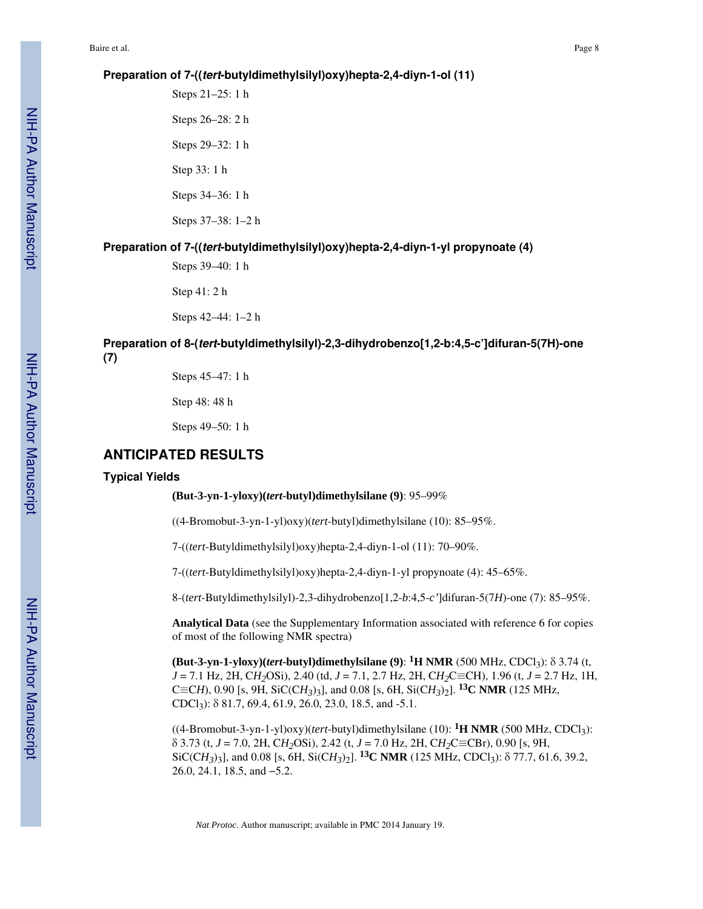#### **Preparation of 7-((tert-butyldimethylsilyl)oxy)hepta-2,4-diyn-1-ol (11)**

Steps 21–25: 1 h Steps 26–28: 2 h Steps 29–32: 1 h Step 33: 1 h Steps 34–36: 1 h Steps 37–38: 1–2 h

#### **Preparation of 7-((tert-butyldimethylsilyl)oxy)hepta-2,4-diyn-1-yl propynoate (4)**

Steps 39–40: 1 h

Step 41: 2 h

Steps 42–44: 1–2 h

## **Preparation of 8-(tert-butyldimethylsilyl)-2,3-dihydrobenzo[1,2-b:4,5-c']difuran-5(7H)-one**

**(7)**

Steps 45–47: 1 h

Step 48: 48 h

Steps 49–50: 1 h

### **ANTICIPATED RESULTS**

#### **Typical Yields**

**(But-3-yn-1-yloxy)(***tert***-butyl)dimethylsilane (9)**: 95–99%

((4-Bromobut-3-yn-1-yl)oxy)(*tert*-butyl)dimethylsilane (10): 85–95%.

7-((*tert*-Butyldimethylsilyl)oxy)hepta-2,4-diyn-1-ol (11): 70–90%.

7-((*tert*-Butyldimethylsilyl)oxy)hepta-2,4-diyn-1-yl propynoate (4): 45–65%.

8-(*tert*-Butyldimethylsilyl)-2,3-dihydrobenzo[1,2-*b*:4,5-*c'*]difuran-5(7*H*)-one (7): 85–95%.

**Analytical Data** (see the Supplementary Information associated with reference 6 for copies of most of the following NMR spectra)

**(But-3-yn-1-yloxy)(***tert***-butyl)dimethylsilane (9)**: **1H NMR** (500 MHz, CDCl3): δ 3.74 (t, *J* = 7.1 Hz, 2H, C*H2*OSi), 2.40 (td, *J* = 7.1, 2.7 Hz, 2H, C*H2*C≡CH), 1.96 (t, *J* = 2.7 Hz, 1H, C≡C*H*), 0.90 [s, 9H, SiC(C*H*<sub>3</sub>)<sub>3</sub>], and 0.08 [s, 6H, Si(C*H*<sub>3</sub>)<sub>2</sub>]. <sup>13</sup>C NMR (125 MHz, CDCl3): δ 81.7, 69.4, 61.9, 26.0, 23.0, 18.5, and -5.1.

 $((4-Bromobut-3-yn-1-yl)oxy)(tert-butyl)dimethylsilane (10):  ${}^1H NMR$  (500 MHz, CDCl<sub>3</sub>):$ δ 3.73 (t, *J* = 7.0, 2H, C*H2*OSi), 2.42 (t, *J* = 7.0 Hz, 2H, C*H2*C≡CBr), 0.90 [s, 9H, SiC(C*H3*)3], and 0.08 [s, 6H, Si(C*H3*)2]. **13C NMR** (125 MHz, CDCl3): δ 77.7, 61.6, 39.2, 26.0, 24.1, 18.5, and −5.2.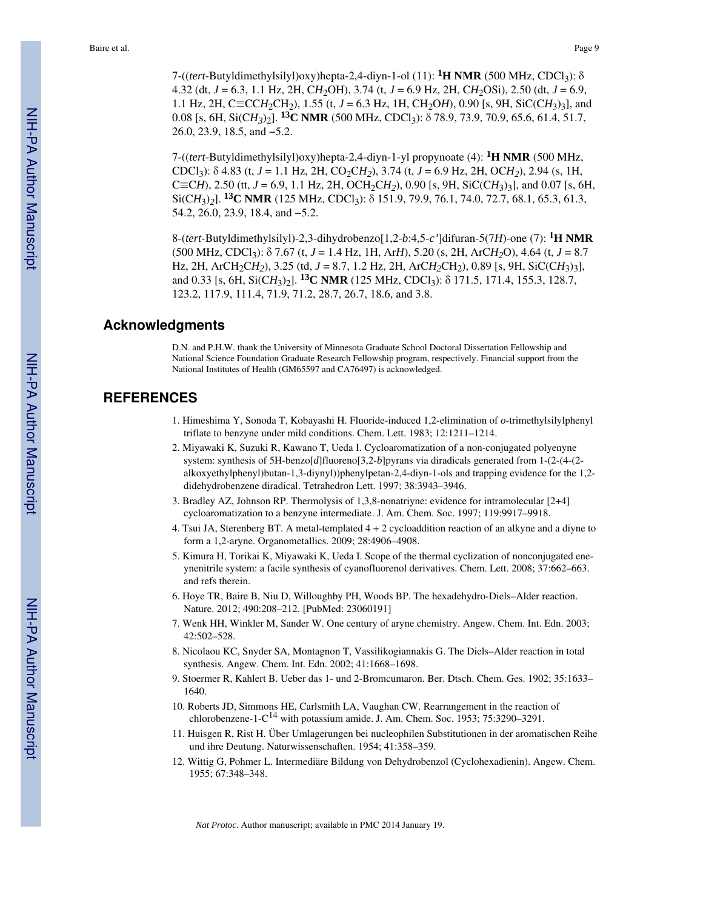7-((*tert*-Butyldimethylsilyl)oxy)hepta-2,4-diyn-1-ol (11): **1H NMR** (500 MHz, CDCl3): δ 4.32 (dt, *J* = 6.3, 1.1 Hz, 2H, C*H*2OH), 3.74 (t, *J* = 6.9 Hz, 2H, C*H*2OSi), 2.50 (dt, *J* = 6.9, 1.1 Hz, 2H, C≡CCH<sub>2</sub>CH<sub>2</sub>), 1.55 (t, *J* = 6.3 Hz, 1H, CH<sub>2</sub>OH), 0.90 [s, 9H, SiC(CH<sub>3</sub>)<sub>3</sub>], and 0.08 [s, 6H, Si(C*H3*)2]. **13C NMR** (500 MHz, CDCl3): δ 78.9, 73.9, 70.9, 65.6, 61.4, 51.7, 26.0, 23.9, 18.5, and −5.2.

7-((*tert*-Butyldimethylsilyl)oxy)hepta-2,4-diyn-1-yl propynoate (4): **1H NMR** (500 MHz, CDCl<sub>3</sub>):  $\delta$  4.83 (t, *J* = 1.1 Hz, 2H, CO<sub>2</sub>CH<sub>2</sub>), 3.74 (t, *J* = 6.9 Hz, 2H, OCH<sub>2</sub>), 2.94 (s, 1H, C≡C*H*), 2.50 (tt, *J* = 6.9, 1.1 Hz, 2H, OCH<sub>2</sub>C*H*<sub>2</sub>), 0.90 [s, 9H, SiC(C*H*<sub>3</sub>)<sub>3</sub>], and 0.07 [s, 6H, Si(C*H*3)*2*]. **13C NMR** (125 MHz, CDCl3): δ 151.9, 79.9, 76.1, 74.0, 72.7, 68.1, 65.3, 61.3, 54.2, 26.0, 23.9, 18.4, and −5.2.

8-(*tert*-Butyldimethylsilyl)-2,3-dihydrobenzo[1,2-*b*:4,5-*c'*]difuran-5(7*H*)-one (7): **1H NMR** (500 MHz, CDCl3): δ 7.67 (t, *J* = 1.4 Hz, 1H, Ar*H*), 5.20 (s, 2H, ArC*H2*O), 4.64 (t, *J* = 8.7 Hz, 2H, ArCH<sub>2</sub>CH<sub>2</sub>), 3.25 (td,  $J = 8.7$ , 1.2 Hz, 2H, ArCH<sub>2</sub>CH<sub>2</sub>), 0.89 [s, 9H, SiC(CH<sub>3</sub>)<sub>3</sub>], and 0.33 [s, 6H, Si $(CH_3)$ ]. <sup>13</sup>**C NMR** (125 MHz, CDCl<sub>3</sub>):  $\delta$  171.5, 171.4, 155.3, 128.7, 123.2, 117.9, 111.4, 71.9, 71.2, 28.7, 26.7, 18.6, and 3.8.

#### **Acknowledgments**

D.N. and P.H.W. thank the University of Minnesota Graduate School Doctoral Dissertation Fellowship and National Science Foundation Graduate Research Fellowship program, respectively. Financial support from the National Institutes of Health (GM65597 and CA76497) is acknowledged.

## **REFERENCES**

- 1. Himeshima Y, Sonoda T, Kobayashi H. Fluoride-induced 1,2-elimination of *o*-trimethylsilylphenyl triflate to benzyne under mild conditions. Chem. Lett. 1983; 12:1211–1214.
- 2. Miyawaki K, Suzuki R, Kawano T, Ueda I. Cycloaromatization of a non-conjugated polyenyne system: synthesis of 5H-benzo[*d*]fluoreno[3,2-*b*]pyrans via diradicals generated from 1-(2-(4-(2 alkoxyethylphenyl)butan-1,3-diynyl))phenylpetan-2,4-diyn-1-ols and trapping evidence for the 1,2 didehydrobenzene diradical. Tetrahedron Lett. 1997; 38:3943–3946.
- 3. Bradley AZ, Johnson RP. Thermolysis of 1,3,8-nonatriyne: evidence for intramolecular [2+4] cycloaromatization to a benzyne intermediate. J. Am. Chem. Soc. 1997; 119:9917–9918.
- 4. Tsui JA, Sterenberg BT. A metal-templated 4 + 2 cycloaddition reaction of an alkyne and a diyne to form a 1,2-aryne. Organometallics. 2009; 28:4906–4908.
- 5. Kimura H, Torikai K, Miyawaki K, Ueda I. Scope of the thermal cyclization of nonconjugated eneynenitrile system: a facile synthesis of cyanofluorenol derivatives. Chem. Lett. 2008; 37:662–663. and refs therein.
- 6. Hoye TR, Baire B, Niu D, Willoughby PH, Woods BP. The hexadehydro-Diels–Alder reaction. Nature. 2012; 490:208–212. [PubMed: 23060191]
- 7. Wenk HH, Winkler M, Sander W. One century of aryne chemistry. Angew. Chem. Int. Edn. 2003; 42:502–528.
- 8. Nicolaou KC, Snyder SA, Montagnon T, Vassilikogiannakis G. The Diels–Alder reaction in total synthesis. Angew. Chem. Int. Edn. 2002; 41:1668–1698.
- 9. Stoermer R, Kahlert B. Ueber das 1- und 2-Bromcumaron. Ber. Dtsch. Chem. Ges. 1902; 35:1633– 1640.
- 10. Roberts JD, Simmons HE, Carlsmith LA, Vaughan CW. Rearrangement in the reaction of chlorobenzene-1- $C^{14}$  with potassium amide. J. Am. Chem. Soc. 1953; 75:3290–3291.
- 11. Huisgen R, Rist H. Über Umlagerungen bei nucleophilen Substitutionen in der aromatischen Reihe und ihre Deutung. Naturwissenschaften. 1954; 41:358–359.
- 12. Wittig G, Pohmer L. Intermediäre Bildung von Dehydrobenzol (Cyclohexadienin). Angew. Chem. 1955; 67:348–348.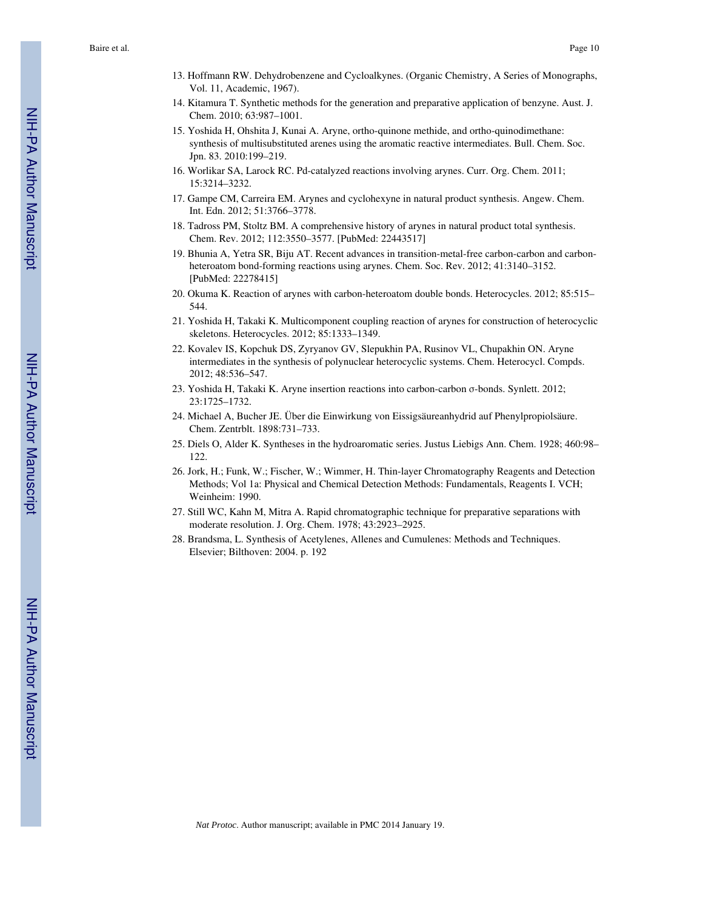- 13. Hoffmann RW. Dehydrobenzene and Cycloalkynes. (Organic Chemistry, A Series of Monographs, Vol. 11, Academic, 1967).
- 14. Kitamura T. Synthetic methods for the generation and preparative application of benzyne. Aust. J. Chem. 2010; 63:987–1001.
- 15. Yoshida H, Ohshita J, Kunai A. Aryne, ortho-quinone methide, and ortho-quinodimethane: synthesis of multisubstituted arenes using the aromatic reactive intermediates. Bull. Chem. Soc. Jpn. 83. 2010:199–219.
- 16. Worlikar SA, Larock RC. Pd-catalyzed reactions involving arynes. Curr. Org. Chem. 2011; 15:3214–3232.
- 17. Gampe CM, Carreira EM. Arynes and cyclohexyne in natural product synthesis. Angew. Chem. Int. Edn. 2012; 51:3766–3778.
- 18. Tadross PM, Stoltz BM. A comprehensive history of arynes in natural product total synthesis. Chem. Rev. 2012; 112:3550–3577. [PubMed: 22443517]
- 19. Bhunia A, Yetra SR, Biju AT. Recent advances in transition-metal-free carbon-carbon and carbonheteroatom bond-forming reactions using arynes. Chem. Soc. Rev. 2012; 41:3140–3152. [PubMed: 22278415]
- 20. Okuma K. Reaction of arynes with carbon-heteroatom double bonds. Heterocycles. 2012; 85:515– 544.
- 21. Yoshida H, Takaki K. Multicomponent coupling reaction of arynes for construction of heterocyclic skeletons. Heterocycles. 2012; 85:1333–1349.
- 22. Kovalev IS, Kopchuk DS, Zyryanov GV, Slepukhin PA, Rusinov VL, Chupakhin ON. Aryne intermediates in the synthesis of polynuclear heterocyclic systems. Chem. Heterocycl. Compds. 2012; 48:536–547.
- 23. Yoshida H, Takaki K. Aryne insertion reactions into carbon-carbon σ-bonds. Synlett. 2012; 23:1725–1732.
- 24. Michael A, Bucher JE. Über die Einwirkung von Eissigsäureanhydrid auf Phenylpropiolsäure. Chem. Zentrblt. 1898:731–733.
- 25. Diels O, Alder K. Syntheses in the hydroaromatic series. Justus Liebigs Ann. Chem. 1928; 460:98– 122.
- 26. Jork, H.; Funk, W.; Fischer, W.; Wimmer, H. Thin-layer Chromatography Reagents and Detection Methods; Vol 1a: Physical and Chemical Detection Methods: Fundamentals, Reagents I. VCH; Weinheim: 1990.
- 27. Still WC, Kahn M, Mitra A. Rapid chromatographic technique for preparative separations with moderate resolution. J. Org. Chem. 1978; 43:2923–2925.
- 28. Brandsma, L. Synthesis of Acetylenes, Allenes and Cumulenes: Methods and Techniques. Elsevier; Bilthoven: 2004. p. 192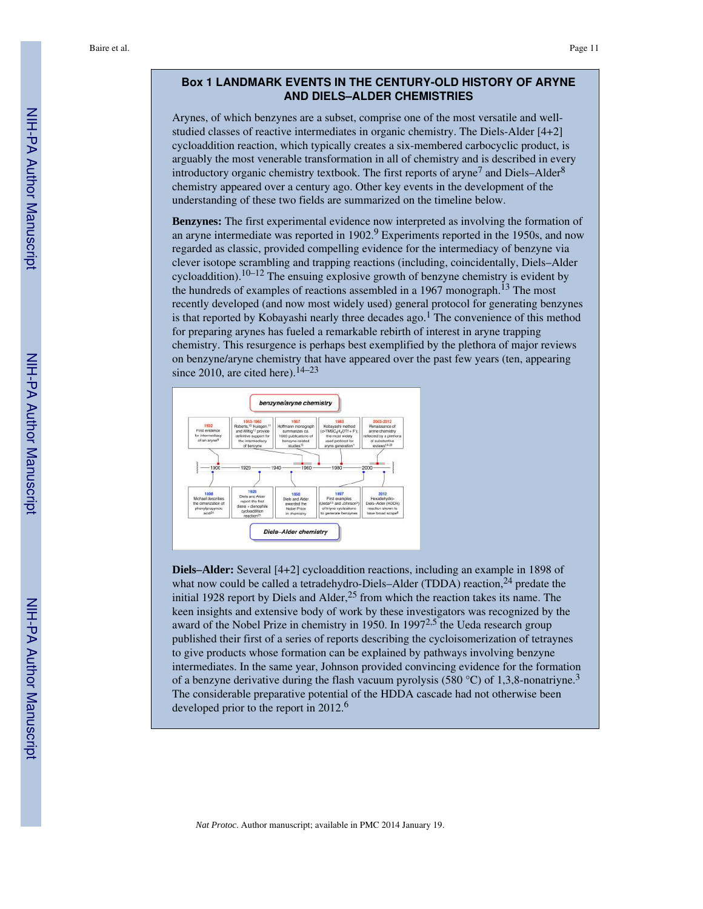#### **Box 1 LANDMARK EVENTS IN THE CENTURY-OLD HISTORY OF ARYNE AND DIELS–ALDER CHEMISTRIES**

Arynes, of which benzynes are a subset, comprise one of the most versatile and wellstudied classes of reactive intermediates in organic chemistry. The Diels-Alder [4+2] cycloaddition reaction, which typically creates a six-membered carbocyclic product, is arguably the most venerable transformation in all of chemistry and is described in every introductory organic chemistry textbook. The first reports of aryne<sup>7</sup> and Diels-Alder<sup>8</sup> chemistry appeared over a century ago. Other key events in the development of the understanding of these two fields are summarized on the timeline below.

**Benzynes:** The first experimental evidence now interpreted as involving the formation of an aryne intermediate was reported in 1902.<sup>9</sup> Experiments reported in the 1950s, and now regarded as classic, provided compelling evidence for the intermediacy of benzyne via clever isotope scrambling and trapping reactions (including, coincidentally, Diels–Alder cycloaddition).<sup>10–12</sup> The ensuing explosive growth of benzyne chemistry is evident by the hundreds of examples of reactions assembled in a 1967 monograph.<sup>13</sup> The most recently developed (and now most widely used) general protocol for generating benzynes is that reported by Kobayashi nearly three decades ago.<sup>1</sup> The convenience of this method for preparing arynes has fueled a remarkable rebirth of interest in aryne trapping chemistry. This resurgence is perhaps best exemplified by the plethora of major reviews on benzyne/aryne chemistry that have appeared over the past few years (ten, appearing since 2010, are cited here).  $14-23$ 



**Diels–Alder:** Several [4+2] cycloaddition reactions, including an example in 1898 of what now could be called a tetradehydro-Diels–Alder (TDDA) reaction,<sup>24</sup> predate the initial 1928 report by Diels and Alder, $25$  from which the reaction takes its name. The keen insights and extensive body of work by these investigators was recognized by the award of the Nobel Prize in chemistry in 1950. In 1997 $^{2,5}$  the Ueda research group published their first of a series of reports describing the cycloisomerization of tetraynes to give products whose formation can be explained by pathways involving benzyne intermediates. In the same year, Johnson provided convincing evidence for the formation of a benzyne derivative during the flash vacuum pyrolysis (580 °C) of 1,3,8-nonatriyne.<sup>3</sup> The considerable preparative potential of the HDDA cascade had not otherwise been developed prior to the report in 2012.<sup>6</sup>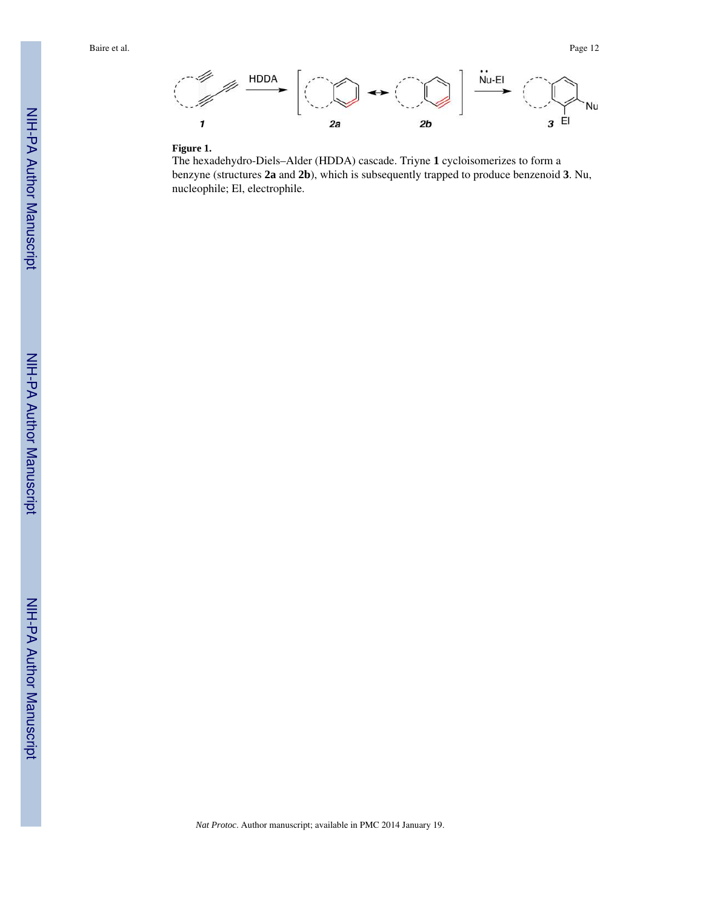

#### **Figure 1.**

The hexadehydro-Diels–Alder (HDDA) cascade. Triyne **1** cycloisomerizes to form a benzyne (structures **2a** and **2b**), which is subsequently trapped to produce benzenoid **3**. Nu, nucleophile; El, electrophile.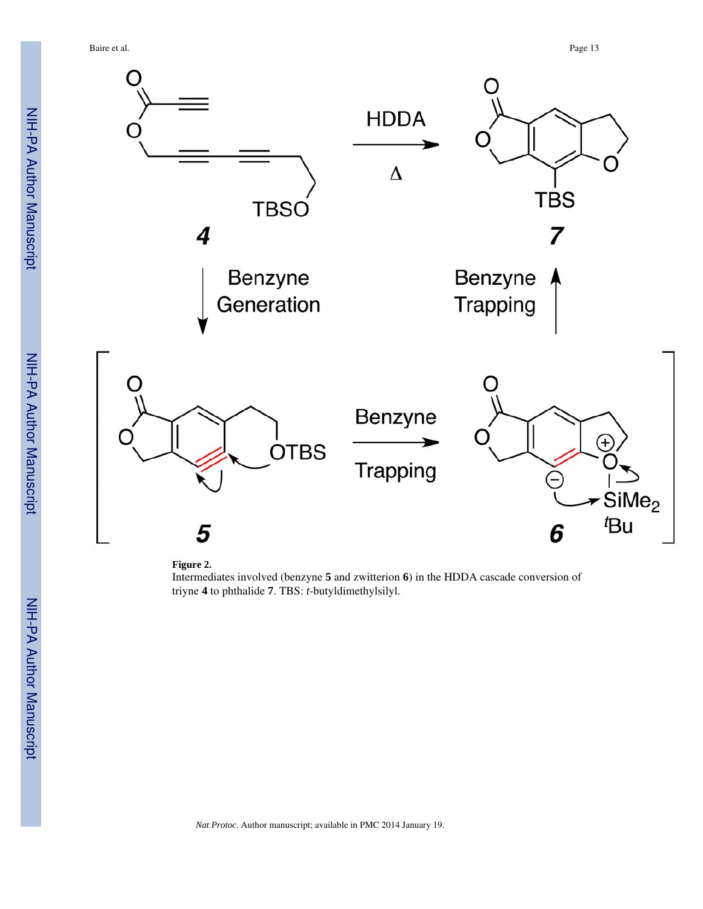Baire et al. Page 13





Intermediates involved (benzyne **5** and zwitterion **6**) in the HDDA cascade conversion of triyne **4** to phthalide **7**. TBS: *t*-butyldimethylsilyl.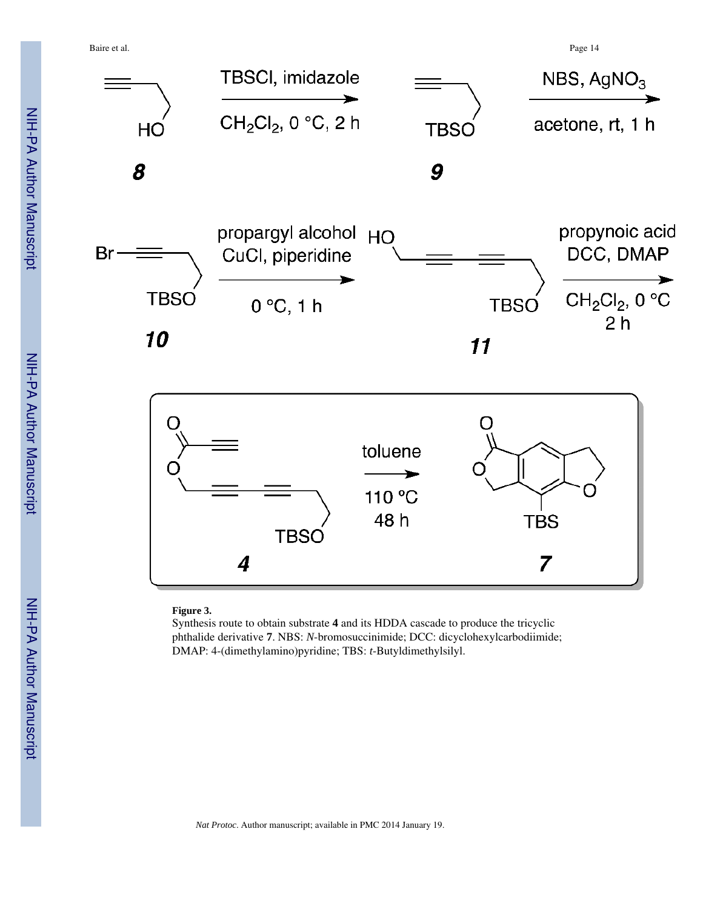Baire et al. Page 14



#### **Figure 3.**

Synthesis route to obtain substrate **4** and its HDDA cascade to produce the tricyclic phthalide derivative **7**. NBS: *N*-bromosuccinimide; DCC: dicyclohexylcarbodiimide; DMAP: 4-(dimethylamino)pyridine; TBS: *t*-Butyldimethylsilyl.